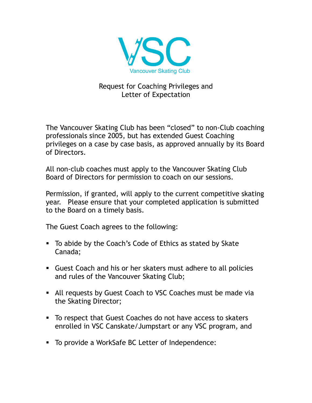

## Request for Coaching Privileges and Letter of Expectation

The Vancouver Skating Club has been "closed" to non-Club coaching professionals since 2005, but has extended Guest Coaching privileges on a case by case basis, as approved annually by its Board of Directors.

All non-club coaches must apply to the Vancouver Skating Club Board of Directors for permission to coach on our sessions.

Permission, if granted, will apply to the current competitive skating year. Please ensure that your completed application is submitted to the Board on a timely basis.

The Guest Coach agrees to the following:

- To abide by the Coach's Code of Ethics as stated by Skate Canada;
- Guest Coach and his or her skaters must adhere to all policies and rules of the Vancouver Skating Club;
- All requests by Guest Coach to VSC Coaches must be made via the Skating Director;
- To respect that Guest Coaches do not have access to skaters enrolled in VSC Canskate/Jumpstart or any VSC program, and
- To provide a WorkSafe BC Letter of Independence: